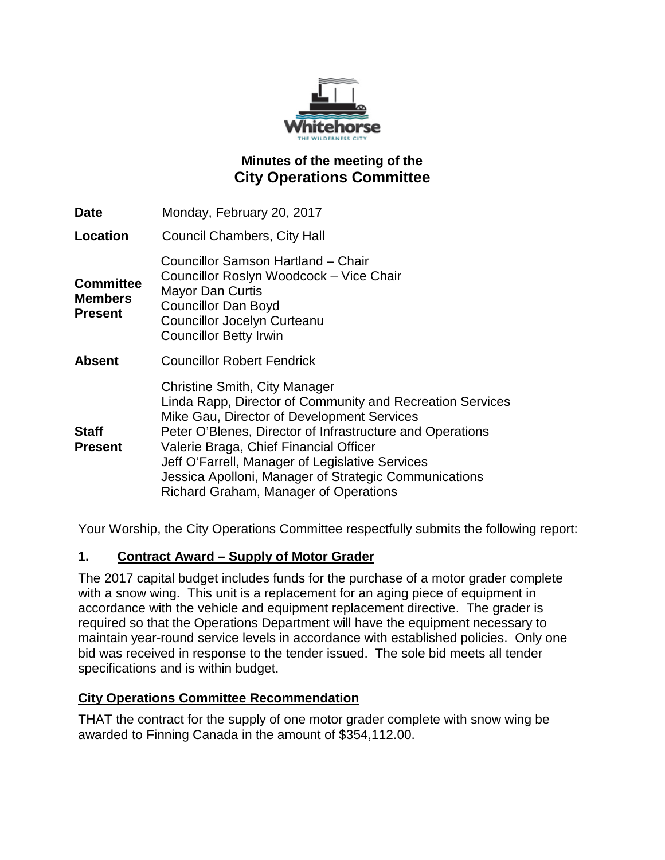

# **Minutes of the meeting of the City Operations Committee**

| <b>Date</b>                                          | Monday, February 20, 2017                                                                                                                                                                                                                                                                                                                                                                            |
|------------------------------------------------------|------------------------------------------------------------------------------------------------------------------------------------------------------------------------------------------------------------------------------------------------------------------------------------------------------------------------------------------------------------------------------------------------------|
| Location                                             | Council Chambers, City Hall                                                                                                                                                                                                                                                                                                                                                                          |
| <b>Committee</b><br><b>Members</b><br><b>Present</b> | Councillor Samson Hartland - Chair<br>Councillor Roslyn Woodcock - Vice Chair<br><b>Mayor Dan Curtis</b><br><b>Councillor Dan Boyd</b><br><b>Councillor Jocelyn Curteanu</b><br><b>Councillor Betty Irwin</b>                                                                                                                                                                                        |
| <b>Absent</b>                                        | <b>Councillor Robert Fendrick</b>                                                                                                                                                                                                                                                                                                                                                                    |
| <b>Staff</b><br><b>Present</b>                       | Christine Smith, City Manager<br>Linda Rapp, Director of Community and Recreation Services<br>Mike Gau, Director of Development Services<br>Peter O'Blenes, Director of Infrastructure and Operations<br>Valerie Braga, Chief Financial Officer<br>Jeff O'Farrell, Manager of Legislative Services<br>Jessica Apolloni, Manager of Strategic Communications<br>Richard Graham, Manager of Operations |

Your Worship, the City Operations Committee respectfully submits the following report:

#### **1. Contract Award – Supply of Motor Grader**

The 2017 capital budget includes funds for the purchase of a motor grader complete with a snow wing. This unit is a replacement for an aging piece of equipment in accordance with the vehicle and equipment replacement directive. The grader is required so that the Operations Department will have the equipment necessary to maintain year-round service levels in accordance with established policies. Only one bid was received in response to the tender issued. The sole bid meets all tender specifications and is within budget.

#### **City Operations Committee Recommendation**

THAT the contract for the supply of one motor grader complete with snow wing be awarded to Finning Canada in the amount of \$354,112.00.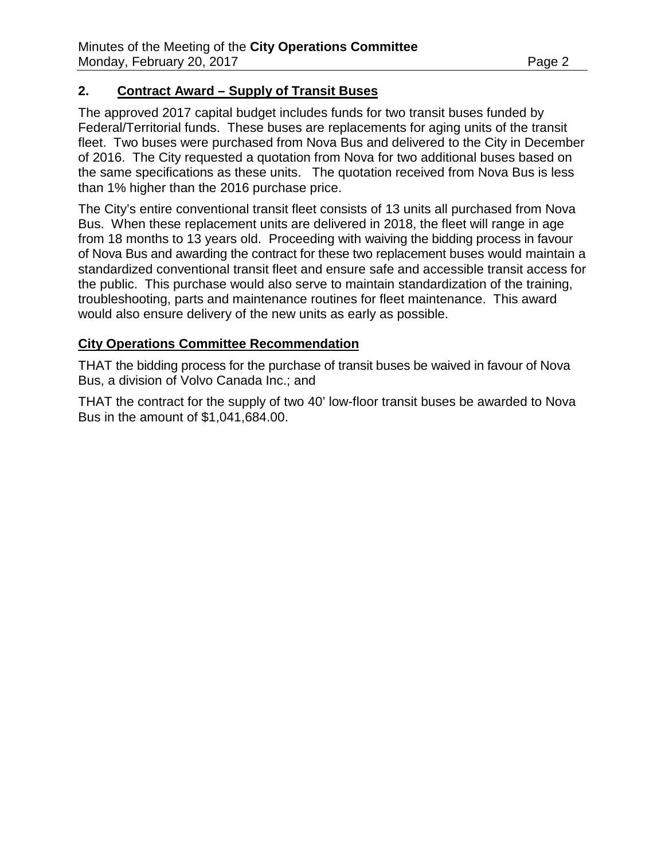#### **2. Contract Award – Supply of Transit Buses**

The approved 2017 capital budget includes funds for two transit buses funded by Federal/Territorial funds. These buses are replacements for aging units of the transit fleet. Two buses were purchased from Nova Bus and delivered to the City in December of 2016. The City requested a quotation from Nova for two additional buses based on the same specifications as these units. The quotation received from Nova Bus is less than 1% higher than the 2016 purchase price.

The City's entire conventional transit fleet consists of 13 units all purchased from Nova Bus. When these replacement units are delivered in 2018, the fleet will range in age from 18 months to 13 years old. Proceeding with waiving the bidding process in favour of Nova Bus and awarding the contract for these two replacement buses would maintain a standardized conventional transit fleet and ensure safe and accessible transit access for the public. This purchase would also serve to maintain standardization of the training, troubleshooting, parts and maintenance routines for fleet maintenance. This award would also ensure delivery of the new units as early as possible.

#### **City Operations Committee Recommendation**

THAT the bidding process for the purchase of transit buses be waived in favour of Nova Bus, a division of Volvo Canada Inc.; and

THAT the contract for the supply of two 40' low-floor transit buses be awarded to Nova Bus in the amount of \$1,041,684.00.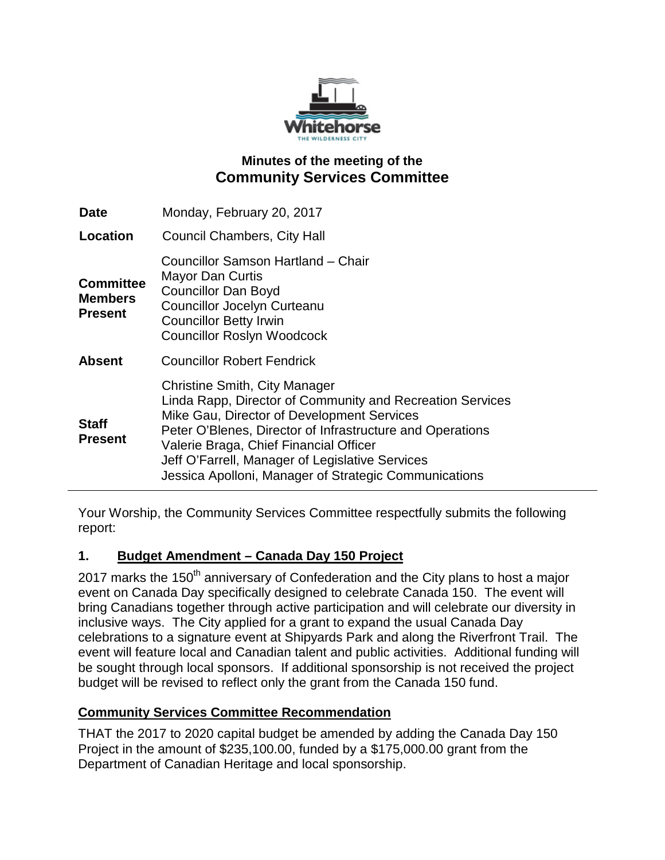

## **Minutes of the meeting of the Community Services Committee**

| <b>Date</b>                                          | Monday, February 20, 2017                                                                                                                                                                                                                                                                                                                                   |
|------------------------------------------------------|-------------------------------------------------------------------------------------------------------------------------------------------------------------------------------------------------------------------------------------------------------------------------------------------------------------------------------------------------------------|
| Location                                             | <b>Council Chambers, City Hall</b>                                                                                                                                                                                                                                                                                                                          |
| <b>Committee</b><br><b>Members</b><br><b>Present</b> | Councillor Samson Hartland - Chair<br><b>Mayor Dan Curtis</b><br><b>Councillor Dan Boyd</b><br><b>Councillor Jocelyn Curteanu</b><br><b>Councillor Betty Irwin</b><br><b>Councillor Roslyn Woodcock</b>                                                                                                                                                     |
| <b>Absent</b>                                        | <b>Councillor Robert Fendrick</b>                                                                                                                                                                                                                                                                                                                           |
| <b>Staff</b><br><b>Present</b>                       | Christine Smith, City Manager<br>Linda Rapp, Director of Community and Recreation Services<br>Mike Gau, Director of Development Services<br>Peter O'Blenes, Director of Infrastructure and Operations<br>Valerie Braga, Chief Financial Officer<br>Jeff O'Farrell, Manager of Legislative Services<br>Jessica Apolloni, Manager of Strategic Communications |

Your Worship, the Community Services Committee respectfully submits the following report:

#### **1. Budget Amendment – Canada Day 150 Project**

2017 marks the 150<sup>th</sup> anniversary of Confederation and the City plans to host a major event on Canada Day specifically designed to celebrate Canada 150. The event will bring Canadians together through active participation and will celebrate our diversity in inclusive ways. The City applied for a grant to expand the usual Canada Day celebrations to a signature event at Shipyards Park and along the Riverfront Trail. The event will feature local and Canadian talent and public activities. Additional funding will be sought through local sponsors. If additional sponsorship is not received the project budget will be revised to reflect only the grant from the Canada 150 fund.

## **Community Services Committee Recommendation**

THAT the 2017 to 2020 capital budget be amended by adding the Canada Day 150 Project in the amount of \$235,100.00, funded by a \$175,000.00 grant from the Department of Canadian Heritage and local sponsorship.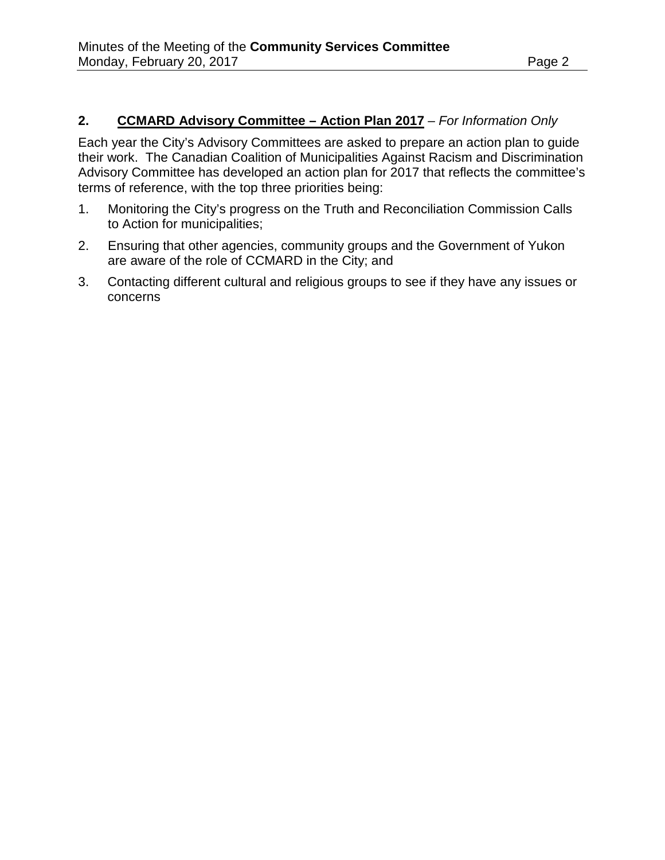# **2. CCMARD Advisory Committee – Action Plan 2017** – *For Information Only*

Each year the City's Advisory Committees are asked to prepare an action plan to guide their work. The Canadian Coalition of Municipalities Against Racism and Discrimination Advisory Committee has developed an action plan for 2017 that reflects the committee's terms of reference, with the top three priorities being:

- 1. Monitoring the City's progress on the Truth and Reconciliation Commission Calls to Action for municipalities;
- 2. Ensuring that other agencies, community groups and the Government of Yukon are aware of the role of CCMARD in the City; and
- 3. Contacting different cultural and religious groups to see if they have any issues or concerns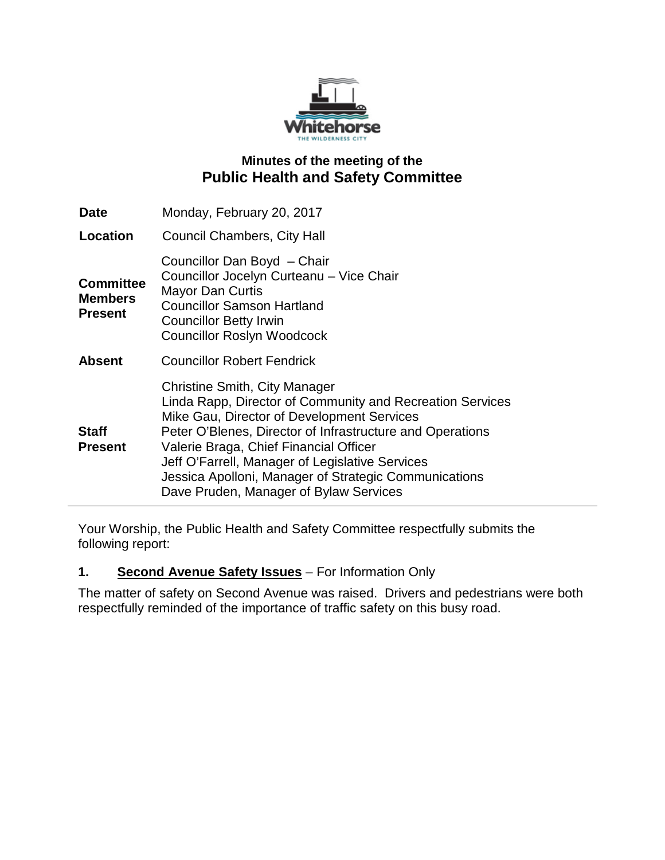

## **Minutes of the meeting of the Public Health and Safety Committee**

| <b>Date</b>                                          | Monday, February 20, 2017                                                                                                                                                                                                                                                                                                                                                                             |
|------------------------------------------------------|-------------------------------------------------------------------------------------------------------------------------------------------------------------------------------------------------------------------------------------------------------------------------------------------------------------------------------------------------------------------------------------------------------|
| Location                                             | <b>Council Chambers, City Hall</b>                                                                                                                                                                                                                                                                                                                                                                    |
| <b>Committee</b><br><b>Members</b><br><b>Present</b> | Councillor Dan Boyd - Chair<br>Councillor Jocelyn Curteanu - Vice Chair<br><b>Mayor Dan Curtis</b><br><b>Councillor Samson Hartland</b><br><b>Councillor Betty Irwin</b><br><b>Councillor Roslyn Woodcock</b>                                                                                                                                                                                         |
| <b>Absent</b>                                        | <b>Councillor Robert Fendrick</b>                                                                                                                                                                                                                                                                                                                                                                     |
| <b>Staff</b><br><b>Present</b>                       | Christine Smith, City Manager<br>Linda Rapp, Director of Community and Recreation Services<br>Mike Gau, Director of Development Services<br>Peter O'Blenes, Director of Infrastructure and Operations<br>Valerie Braga, Chief Financial Officer<br>Jeff O'Farrell, Manager of Legislative Services<br>Jessica Apolloni, Manager of Strategic Communications<br>Dave Pruden, Manager of Bylaw Services |

Your Worship, the Public Health and Safety Committee respectfully submits the following report:

#### **1. Second Avenue Safety Issues** – For Information Only

The matter of safety on Second Avenue was raised. Drivers and pedestrians were both respectfully reminded of the importance of traffic safety on this busy road.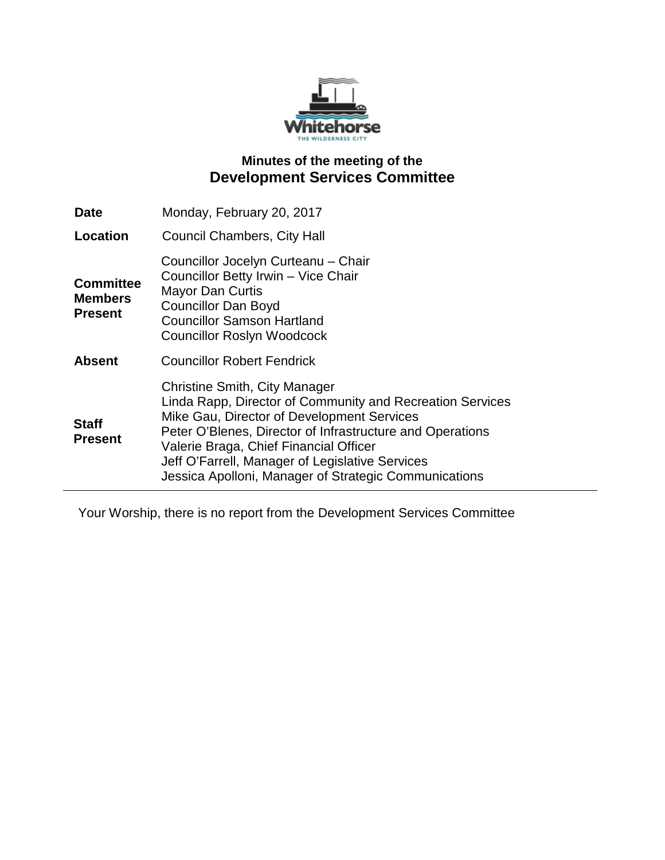

# **Minutes of the meeting of the Development Services Committee**

| <b>Date</b>                                          | Monday, February 20, 2017                                                                                                                                                                                                                                                                                                                                          |
|------------------------------------------------------|--------------------------------------------------------------------------------------------------------------------------------------------------------------------------------------------------------------------------------------------------------------------------------------------------------------------------------------------------------------------|
| Location                                             | <b>Council Chambers, City Hall</b>                                                                                                                                                                                                                                                                                                                                 |
| <b>Committee</b><br><b>Members</b><br><b>Present</b> | Councillor Jocelyn Curteanu - Chair<br>Councillor Betty Irwin - Vice Chair<br><b>Mayor Dan Curtis</b><br><b>Councillor Dan Boyd</b><br><b>Councillor Samson Hartland</b><br><b>Councillor Roslyn Woodcock</b>                                                                                                                                                      |
| <b>Absent</b>                                        | <b>Councillor Robert Fendrick</b>                                                                                                                                                                                                                                                                                                                                  |
| <b>Staff</b><br><b>Present</b>                       | <b>Christine Smith, City Manager</b><br>Linda Rapp, Director of Community and Recreation Services<br>Mike Gau, Director of Development Services<br>Peter O'Blenes, Director of Infrastructure and Operations<br>Valerie Braga, Chief Financial Officer<br>Jeff O'Farrell, Manager of Legislative Services<br>Jessica Apolloni, Manager of Strategic Communications |

Your Worship, there is no report from the Development Services Committee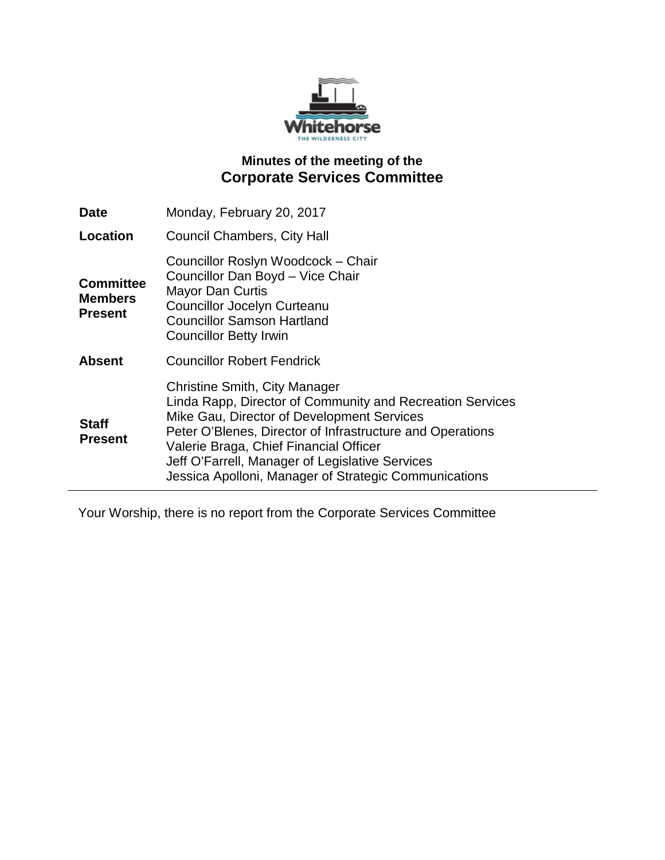

# **Minutes of the meeting of the Corporate Services Committee**

| <b>Date</b>                                          | Monday, February 20, 2017                                                                                                                                                                                                                                                                                                                                          |
|------------------------------------------------------|--------------------------------------------------------------------------------------------------------------------------------------------------------------------------------------------------------------------------------------------------------------------------------------------------------------------------------------------------------------------|
| Location                                             | <b>Council Chambers, City Hall</b>                                                                                                                                                                                                                                                                                                                                 |
| <b>Committee</b><br><b>Members</b><br><b>Present</b> | Councillor Roslyn Woodcock - Chair<br>Councillor Dan Boyd - Vice Chair<br><b>Mayor Dan Curtis</b><br>Councillor Jocelyn Curteanu<br><b>Councillor Samson Hartland</b><br><b>Councillor Betty Irwin</b>                                                                                                                                                             |
| <b>Absent</b>                                        | <b>Councillor Robert Fendrick</b>                                                                                                                                                                                                                                                                                                                                  |
| <b>Staff</b><br><b>Present</b>                       | <b>Christine Smith, City Manager</b><br>Linda Rapp, Director of Community and Recreation Services<br>Mike Gau, Director of Development Services<br>Peter O'Blenes, Director of Infrastructure and Operations<br>Valerie Braga, Chief Financial Officer<br>Jeff O'Farrell, Manager of Legislative Services<br>Jessica Apolloni, Manager of Strategic Communications |

Your Worship, there is no report from the Corporate Services Committee